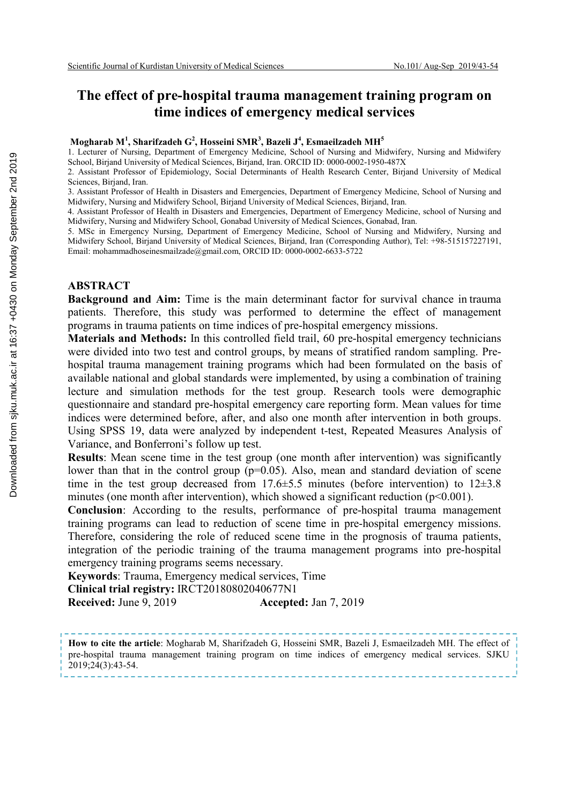# **The effect of pre-hospital trauma management training program on time indices of emergency medical services**

#### **Mogharab M<sup>1</sup> , Sharifzadeh G2 , Hosseini SMR<sup>3</sup> , Bazeli J<sup>4</sup> , Esmaeilzadeh MH<sup>5</sup>**

1. Lecturer of Nursing, Department of Emergency Medicine, School of Nursing and Midwifery, Nursing and Midwifery School, Birjand University of Medical Sciences, Birjand, Iran. ORCID ID: 0000-0002-1950-487X

2. Assistant Professor of Epidemiology, Social Determinants of Health Research Center, Birjand University of Medical Sciences, Birjand, Iran.

3. Assistant Professor of Health in Disasters and Emergencies, Department of Emergency Medicine, School of Nursing and Midwifery, Nursing and Midwifery School, Birjand University of Medical Sciences, Birjand, Iran.

4. Assistant Professor of Health in Disasters and Emergencies, Department of Emergency Medicine, school of Nursing and Midwifery, Nursing and Midwifery School, Gonabad University of Medical Sciences, Gonabad, Iran.

5. MSc in Emergency Nursing, Department of Emergency Medicine, School of Nursing and Midwifery, Nursing and Midwifery School, Birjand University of Medical Sciences, Birjand, Iran (Corresponding Author), Tel: +98-515157227191, Email: mohammadhoseinesmailzade@gmail.com, ORCID ID: 0000-0002-6633-5722

#### **ABSTRACT**

**Background and Aim:** Time is the main determinant factor for survival chance in trauma patients. Therefore, this study was performed to determine the effect of management programs in trauma patients on time indices of pre-hospital emergency missions.

**Materials and Methods:** In this controlled field trail, 60 pre-hospital emergency technicians were divided into two test and control groups, by means of stratified random sampling. Prehospital trauma management training programs which had been formulated on the basis of available national and global standards were implemented, by using a combination of training lecture and simulation methods for the test group. Research tools were demographic questionnaire and standard pre-hospital emergency care reporting form. Mean values for time indices were determined before, after, and also one month after intervention in both groups. Using SPSS 19, data were analyzed by independent t-test, Repeated Measures Analysis of Variance, and Bonferroni's follow up test.

**Results**: Mean scene time in the test group (one month after intervention) was significantly lower than that in the control group  $(p=0.05)$ . Also, mean and standard deviation of scene time in the test group decreased from  $17.6\pm5.5$  minutes (before intervention) to  $12\pm3.8$ minutes (one month after intervention), which showed a significant reduction  $(p<0.001)$ .

**Conclusion**: According to the results, performance of pre-hospital trauma management training programs can lead to reduction of scene time in pre-hospital emergency missions. Therefore, considering the role of reduced scene time in the prognosis of trauma patients, integration of the periodic training of the trauma management programs into pre-hospital emergency training programs seems necessary.

**Keywords**: Trauma, Emergency medical services, Time **Clinical trial registry:** IRCT20180802040677N1

**Received:** June 9, 2019 **Accepted:** Jan 7, 2019

**How to cite the article**: Mogharab M, Sharifzadeh G, Hosseini SMR, Bazeli J, Esmaeilzadeh MH. The effect of pre-hospital trauma management training program on time indices of emergency medical services. SJKU 2019;24(3):43-54.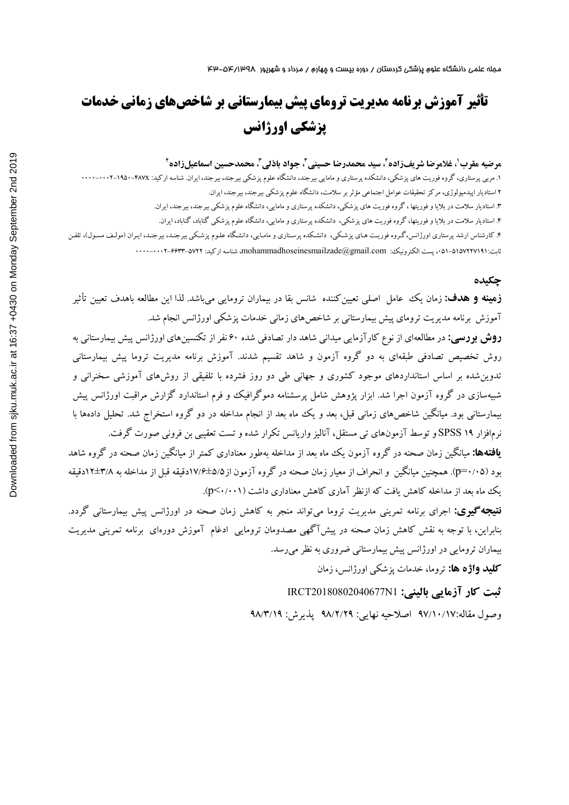# **تأثیر آموزش برنامه مدیریت تروماي پیش بیمارستانی بر شاخصهاي زمانی خدمات پزشکی اورژانس**

#### **4 ، محمدحسین اسماعیلزاده <sup>3</sup> ، جواد باذلی <sup>3</sup> ، سید محمدرضا حسینی <sup>2</sup> ، غلامرضا شریفزاده <sup>1</sup> مرضیه مقرب**

۱. مربی پرستاری، گروه فوریت های پزشکی، دانشکده پرستاری و مامایی بیرجند، دانشگاه علوم پزشکی بیرجند، ایران. شناسه ارکید: fA0۰-۴۸۷X-۱۰۰۰-۰۰۰۰-۰۰۰۷ 2 استادیار اپیدمیولوژي، مرکز تحقیقات عوامل اجتماعی مؤثر بر سلامت، دانشگاه علوم پزشکی بیرجند، بیرجند، ایران. .3 استادیار سلامت در بلایا و فوریتها ، گروه فوریت هاي پزشکی، دانشکده پرستاري و مامایی، دانشگاه علوم پزشکی بیرجند، بیرجند، ایران. .4 استادیار سلامت در بلایا و فوریتها، گروه فوریت هاي پزشکی، دانشکده پرستاري و مامایی، دانشگاه علوم پزشکی گناباد، گناباد، ایران. ۴. کارشناس ارشد پرستاری اورژانس،گـروه فوریـت هـای پزشـکی، دانشـکده پرسـتاری و مامـایی، دانشـگاه علـوم پزشـکی بیرجنـد، بیرجنـد، ایـران (مولـف مسـول)، تلفـن ثابت،051-5157227191: پست الکترونیک: com.gmail@mohammadhoseinesmailzade، شناسه ارکید: 0000-0002-6633-5722

#### **چکیده**

**زمینه و هدف:** زمان یک عامل اصلی تعیینکننده شانس بقا در بیماران ترومایی میباشد. لذا این مطالعه باهدف تعیین تأثیر آموزش برنامه مدیریت تروماي پیش بیمارستانی بر شاخصهاي زمانی خدمات پزشکی اورژانس انجام شد.

**روش بررسی:** در مطالعهاي از نوع کارآزمایی میدانی شاهد دار تصادفی شده 60 نفر از تکنسینهاي اورژانس پیش بیمارستانی به روش تخصیص تصادفی طبقهاي به دو گروه آزمون و شاهد تقسیم شدند. آموزش برنامه مدیریت تروما پیش بیمارستانی تدوینشده بر اساس استانداردهاي موجود کشوري و جهانی طی دو روز فشرده با تلفیقی از روشهاي آموزشی سخنرانی و شبیهسازي در گروه آزمون اجرا شد. ابزار پژوهش شامل پرسشنامه دموگرافیک و فرم استاندارد گزارش مراقبت اورژانس پیش بیمارستانی بود. میانگین شاخصهاي زمانی قبل، بعد و یک ماه بعد از انجام مداخله در دو گروه استخراج شد. تحلیل دادهها با نرمافزار 19 SPSS و توسط آزمونهاي تی مستقل، آنالیزواریانس تکرار شده و تست تعقیبی بن فرونی صورت گرفت.

**یافتهها:** میانگین زمان صحنه در گروه آزمون یک ماه بعد از مداخله بهطور معناداري کمتر از میانگین زمان صحنه در گروه شاهد بود (0/05=p(. همچنین میانگین و انحراف از معیار زمان صحنه در گروه آزمون از17/6±5/5دقیقه قبل از مداخله به 12±3/8دقیقه یک ماه بعد از مداخله کاهش یافت که ازنظر آماري کاهش معناداري داشت (0/001>p(.

**نتیجهگیري:** اجراي برنامه تمرینی مدیریت تروما میتواند منجر به کاهش زمان صحنه در اورژانس پیش بیمارستانی گردد. بنابراین، با توجه به نقش کاهش زمان صحنه در پیشآگهی مصدومان ترومایی ادغام آموزش دورهاي برنامه تمرینی مدیریت بیماران ترومایی در اورژانس پیش بیمارستانی ضروري به نظر میرسد.

**کلید واژه ها:** تروما، خدمات پزشکی اورژانس، زمان

**ثبت کار آزمایی بالینی:** 1N20180802040677IRCT وصول مقاله97/10/17: اصلاحیه نهایی: 98/2/29 پذیرش: 98/3/19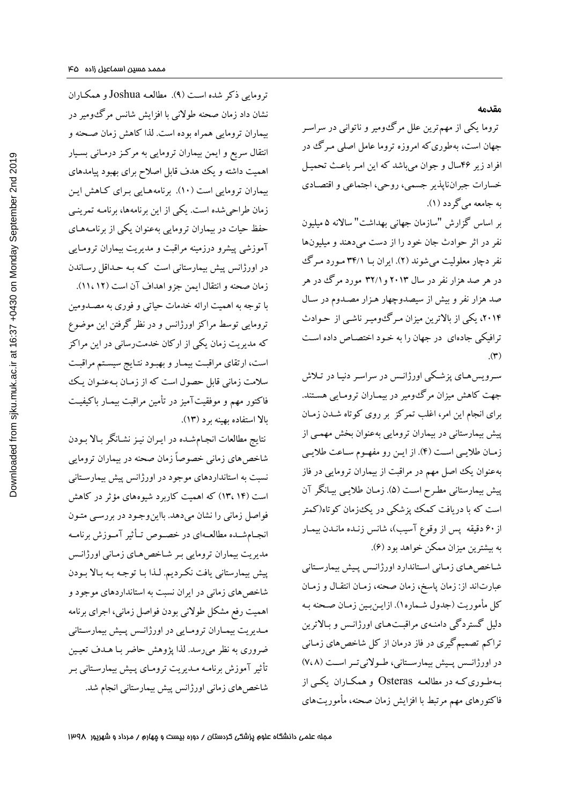تروما یکی از مهمترین علل مرگومیر و ناتوانی در سراسـر جهان است، بهطوريکه امروزه تروما عامل اصلی مـرگ در افراد زیر 46سال و جوان میباشد که این امـر باعـث تحمیـل خسارات جبرانناپذیر جسمی، روحی، اجتماعی و اقتصـاد ي به جامعه میگردد (1).

**مقدمه** 

بر اساس گزارش "سازمان جهانی بهداشت" سالانه 5 میلیون نفر در اثر حوادث جان خود را از دست میدهند و میلیونها نفر دچار معلولیت میشوند (2). ایران بـا 34/1 مـورد مـرگ در هر صد هزار نفر در سال 2013 و32/1 مورد مرگ در هر صد هزار نفر و بیش از سیصدوچهار هـزار مصـدوم در سـال ،2014، یکی از بالاترین میزان مـرگ ومیـر ناشـی از حـوادث ترافیکی جادهاي در جهان را به خـود اختصـاص داد ه اسـت  $\mathcal{L}(\mathbf{r})$ 

سـرویسهـاي پزشـکی اورژانـس در سراسـر دنیـا در تـلاش جهت کاهش میزان مرگومیر در بیمـاران ترومـا یی هسـتند . براي انجام این امر، اغلب تمرکز بر روي کوتاه شـدن زمـان پیش بیمارستانی در بیماران ترومایی بهعنوان بخش مهمـی از زمـان طلایـی اسـت (4). از ایـن رو مفهـوم سـاعت طلایـی بهعنوان یک اصل مهم در مراقبت از بیماران ترومایی در فاز پیش بیمارستانی مطـرح اسـت (5). زمـان طلا یـی بیـ انگر آن است که با دریافت کمک پزشکی در یکزمان کوتاه(کمتر از ۶۰ دقیقه پس از وقوع آسیب)، شانس زنـده مانـدن بیمـار به بیشترین میزان ممکن خواهد بود (6).

شـاخصهـاي زمـانی اسـتاندارد اورژانـس پـیش بیمارسـتانی عبارتاند از: زمان پاسخ، زمان صحنه، زمـان انتقـال و زمـا ن کل مأموریت (جدول شـماره١). ازایـنبـین زمـان صـحنه بـه دلیل گستردگی دامنـه ي مراقبـت هـاي اورژانـس و بـالاترین تراکم تصمیمگیري در فاز درمان از کل شاخصهاي زمـان ی در اورژانــس پــ یش بیمارســتانی، طــولانیتــر اســت (8 7،) بـهطـوريکـه در مطالعـه Osteras و همکـاران یکـی از فاکتورهاي مهم مرتبط با افزایش زمان صحنه، مأموریتهاي

ترومایی ذکر شده اسـت (9). مطالعـه Joshua و همکـاران نشان داد زمان صحنه طولانی با افزایش شانس مرگومیر در بیماران ترومایی همراه بوده است. لذا کاهش زمان صـحنه و انتقال سریع و ایمن بیماران ترومایی به مرکـز درمـان ی بسـ یار اهمیت داشته و یک هدف قابل اصلاح براي بهبود پیامدهاي بیماران ترومایی است (10). برنامههـا یی بـراي کـاهش ایـن زمان طراحیشده است. یکی از این برنامهها، برنامـه تمرینـی حفظ حیات در بیماران ترومایی بهعنوان یکی از برنامـه هـا ي آموزشی پیشرو درزمینه مراقبت و مدیریت بیماران ترومـا یی در اورژانس پیش بیمارستانی است کـه بـه حـداقل رسـاندن زمان صحنه و انتقال ایمن جزو اهداف آن است (12 11،). با توجه به اهمیت ارائه خدمات حیاتی و فوري به مصـدوم ین ترومایی توسط مراکز اورژانس و در نظر گرفتن این موضوع که مدیریت زمان یکی از ارکان خدمترسانی در این مراکز است، ارتقاي مراقبـت ب یمـار و بهبـود نتـا یج سیسـتم مراقبـت سلامت زمانی قابل حصول است که از زمـان بـه عنـوان یـ ک فاکتور مهم و موفقیتآمیز در تأمین مراقبت بیمـار باکیفیـ ت بالا استفاده بهینه برد (13).

نتایج مطالعات انجـام شـده در ا یـ ران نیـ ز نشـانگر بـالا بـودن شاخصهاي زمانی خصوصاً زمان صحنه در بیماران ترومایی نسبت به استانداردهاي موجود در اورژانس پیش بیمارسـتان ی است (14 13،) که اهمیت کاربرد شیوههاي مؤثر در کاهش فواصل زمانی را نشان میدهد. بااینوجـود در بررسـ ی متـون انجــامشــده مطالعــهاي در خصــوص تــأثیر آمــوزش برنامــه مدیریت بیماران ترومایی بـر شـاخص هـای زمـانی اورژانـس پیش بیمارستانی یافت نکـردیم . لـذا بـا توجـه بـه بـالا بـودن شاخصهاي زمانی در ایران نسبت به استانداردهاي موجود و اهمیت رفع مشکل طولانی بودن فواصل زمانی، اجراي برنامه مـدیریت بیمــاران ترومـایی در اورژانـس پــیش بیمارســتانی ضروری به نظر میرسد. لذا پژوهش حاضر بـا هــدف تعیـین تأثیر آموزش برنامـه مـدیریت ترومـای پـیش بیمارسـتانبی بـر شاخصهاي زمانی اورژانس پیش بیمارستانی انجام شد.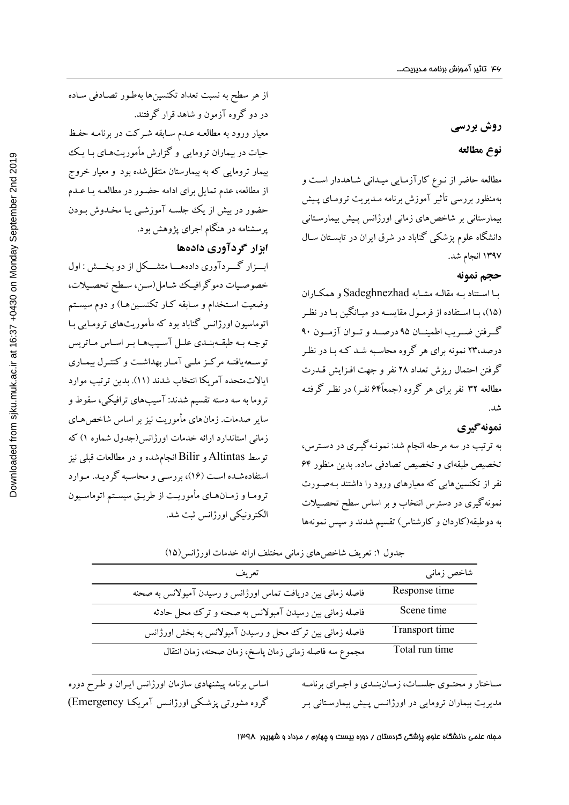# **روش بررسی**

#### **نوع مطالعه**

مطالعه حاضر از نـوع کارآزمـا یی میـدانی شـاهددار اسـت و بهمنظور بررسی تأثیر آموزش برنامه مـدیریت ترومـای پـیش بیمارستانی بر شاخصهاي زمانی اورژانس پـ یش بیمارسـتان ی دانشگاه علوم پزشکی گناباد در شرق ایران در تابسـتان سـال 1397 انجام شد.

#### **حجم نمونه**

بـا اسـتناد بـه مقالـه مشـابه Sadeghnezhad و همکـاران (15)، بـا اسـتفاده از فرمـول مقایسـه دو میـانگین بـا در نظـر گــرفتن ضــریب اطمینــان 95 درصــد و تــوان آزمــون 90 درصد23، نمونه براي هر گروه محاسـبه شـد کـه بـا در نظـر گرفتن احتمال ریزش تعداد 28 نفر و جهت افـزایش قـدرت مطالعه ۳۲ نفر برای هر گروه (جمعاً۶۴ نفـر) در نظـر گرفتـه شد.

#### **نمونهگیري**

به ترتیب در سه مرحله انجام شد: نمونـه گیـ ري در دسـترس ، تخصیص طبقهاي و تخصیص تصادفی ساده. بدین منظور 64 نفر از تکنسینهایی که معیارهاي ورود را داشتند بـه صـورت نمونهگیري در دسترس انتخاب و بر اساس سطح تحصـ یلات به دوطبقه(کاردان و کارشناس) تقسیم شدند و سپس نمونهها

شاخص زمانی تعریف time Response فاصله زمانی بین دریافت تماس اورژانس و رسیدن آمبولانس به صحنه time Scene فاصله زمانی بین رسیدن آمبولانس به صحنه و ترك محل حادثه time Transport فاصله زمانی بین ترك محل و رسیدن آمبولانس به بخش اورژانس time run Total مجموع سه فاصله زمانی زمان پاسخ، زمان صحنه، زمان انتقال

جدول :1 تعریف شاخصهاي زمانی مختلف ارائه خدمات اورژانس(15)

از هر سطح به نسبت تعداد تکنسینها بهطـور تصـادف ی سـاده

معیار ورود به مطالعـه عـدم سـابقه شـرکت در برنامـه حفـظ

حیات در بیماران ترومایی و گزارش مأموریتهـا ي بـا یـ ک بیمار ترومایی که به بیمارستان منتقلشده بود و معیار خروج

از مطالعه، عدم تمایل براي ادامه حضـور در مطالعـه یـا عـدم حضور در بیش از یک جلسـه آموزشـی یـا مخـدو ش بـودن

ابـــزار گـــردآور ي دادههـــا متشـــکل از دو بخـــش : اول خصوصـیات دموگرافیـک شـامل(سـن، سـطح تحصـیلات،

وضعیت اسـتخدام و سـابقه کـار تکنسـینِهـا) و دوم سیسـتم اتوماسیون اورژانس گناباد بود که مأموریتهاي ترومـا یی بـا توجــه بــه طبقــهبنــدي علــل آســیبهـا بـر اســاس مــاتریس

توســعهیافتــه مرکــز ملــی آمــار بهداشــت و کنتــرل بیمــاري ایالاتمتحده آمریکا انتخاب شدند (11). بدین ترتیب موارد

تروما به سه دسته تقسیم شدند: آسیبهاي ترافیکی، سقوط و سایر صدمات. زمانهاي مأموریت نیز بر اساس شاخصهـاي زمانی استاندارد ارائه خدمات اورژانس(جدول شماره 1) که

توسط Altintas و Bilir انجامشده و در مطالعات قبلی نیز استفادهشـده اسـت (16)، بررسـ ی و محاسـبه گرد یـد . مـوارد

ترومـا و زمـانهـاي مأموریـت از طریـق سیسـتم اتوماسـیون

الکترونیکی اورژانس ثبت شد.

در دو گروه آزمون و شاهد قرار گرفتند.

پرسشنامه در هنگام اجراي پژوهش بود.

**ابزار گردآوري دادهها** 

ســاختار و محتــوي جلســات، زمــانبنــدي و اجــراي برنامــه مدیریت بیماران ترومایی در اورژانـس پـیش بیمارسـتانی بـر

اساس برنامه پیشنهادي سازمان اورژانس ایـران و طـرح دوره گروه مشورتی پزشـکی اورژانـ س آمریکـا Emergency(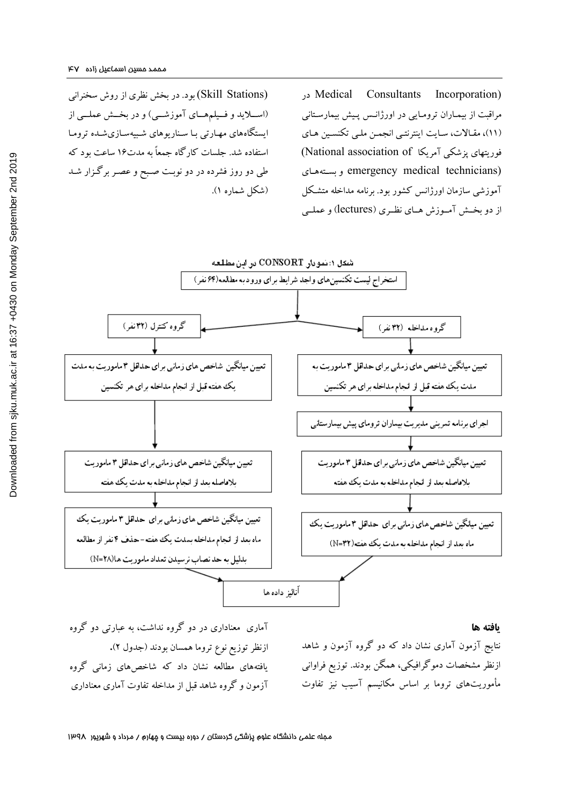(Skill Stations) بود. در بخش نظری از روش سخنرانی (اســلاید و فــیلمهــاي آموزشــی) و در بخــش عملــی از ایستگاههای مهـارتی بـا سـناریوهای شـبیهسـازیشـده ترومـا استفاده شد. جلسات کارگاه جمعاً به مدت16 ساعت بود که طی دو روز فشرده در دو نوبـت صـبح و عصـر برگـزار شـد (شکل شماره 1).

 در Medical Consultants Incorporation) مراقبت از بیمـاران ترومـا یی در اورژانـس پـیش بیمارسـتانی (11)، مقـالات، سـایت اینترنتـی انجمـن ملـ ی تکنسـین هـاي فوریتهای پزشکی آمریکا (National association of) بسـتههـاي و emergency medical technicians) آموزشی سازمان اورژانس کشور بود. برنامه مداخله متشـکل از دو بخــش آمــوزش هــاي نظــري (lectures (و عملــی



#### **یافته ها**

نتایج آزمون آماري نشان داد که دو گروه آزمون و شاهد ازنظر مشخصات دموگرافیکی، همگن بودند. توزیع فراوانی مأموریتهاي تروما بر اساس مکانیسم آسیب نیز تفاوت

آماري معناداري در دو گروه نداشت، به عبارتی دو گروه ازنظر توزیع نوع تروما همسان بودند (جدول 2)**.**  یافتههاي مطالعه نشان داد که شاخصهاي زمانی گروه آزمون و گروه شاهد قبل از مداخله تفاوت آماري معناداري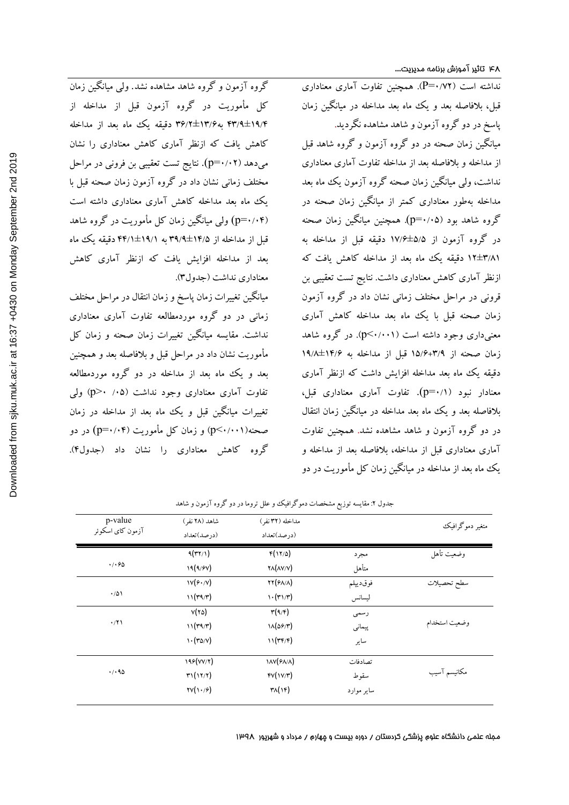نداشته است (0/72=P(. همچنین تفاوت آماري معناداري قبل، بلافاصله بعد و یک ماه بعد مداخله در میانگین زمان پاسخ در دو گروه آزمون و شاهد مشاهده نگردید. میانگین زمان صحنه در دو گروه آزمون و گروه شاهد قبل از مداخله و بلافاصله بعد از مداخله تفاوت آماري معناداري نداشت، ولی میانگین زمان صحنه گروه آزمون یک ماه بعد مداخله بهطور معناداري کمتر از میانگین زمان صحنه در گروه شاهد بود (0/05=p(. همچنین میانگین زمان صحنه در گروه آزمون از 17/6±5/5 دقیقه قبل از مداخله به 12±3/81 دقیقه یک ماه بعد از مداخله کاهش یافت که ازنظر آماري کاهش معناداري داشت. نتایج تست تعقیبی بن قرونی در مراحل مختلف زمانی نشان داد در گروه آزمون زمان صحنه قبل با یک ماه بعد مداخله کاهش آماری معنیداري وجود داشته است (0/001>p(. در گروه شاهد زمان صحنه از 15/6+3/9 قبل از مداخله به 19/8±14/6 دقیقه یک ماه بعد مداخله افزایش داشت که ازنظر آماری معنادار نبود (0/1=p(. تفاوت آماري معناداري قبل، بلافاصله بعد و یک ماه بعد مداخله در میانگین زمان انتقال در دو گروه آزمون و شاهد مشاهده نشد. همچنین تفاوت آماري معناداري قبل از مداخله، بلافاصله بعد از مداخله و یک ماه بعد از مداخله در میانگین زمان کل مأموریت در دو

گروه آزمون و گروه شاهد مشاهده نشد. ولی میانگین زمان کل مأموریت در گروه آزمون قبل از مداخله از 43/9±19/4 به36/2±13/6 دقیقه یک ماه بعد از مداخله کاهش یافت که ازنظر آماري کاهش معناداري را نشان میدهد (p=۰/۰۲). نتایج تست تعقیبی بن فرونی در مراحل مختلف زمانی نشان داد در گروه آزمون زمان صحنه قبل با یک ماه بعد مداخله کاهش آماري معناداري داشته است (0/04=p (ولی میانگین زمان کل مأموریت در گروه شاهد قبل از مداخله از 39/9±14/5 به 44/1±19/1 دقیقه یک ماه بعد از مداخله افزایش یافت که ازنظر آماري کاهش معناداري نداشت (جدول3).

میانگین تغییرات زمان پاسخ و زمان انتقال در مراحل مختلف زمانی در دو گروه موردمطالعه تفاوت آماري معناداري نداشت. مقایسه میانگین تغییرات زمان صحنه و زمان کل مأموریت نشان داد در مراحل قبل و بلافاصله بعد و همچنین بعد و یک ماه بعد از مداخله در دو گروه موردمطالعه تفاوت آماری معناداری وجود نداشت (۰۵٪ p>۰) ولی تغییرات میانگین قبل و یک ماه بعد از مداخله در زمان صحنه(0/001>p (و زمان کل مأموریت (0/04=p (در دو گروه کاهش معناداري را نشان داد (جدول4).

| p-value<br>آزمون كاي اسكوئر | شاهد (۲۸ نفر)                                           | مداخله (۳۲ نفر)                        |            | متغير دموگرافيک |
|-----------------------------|---------------------------------------------------------|----------------------------------------|------------|-----------------|
|                             | (درصد)تعداد                                             | (درصد)تعداد                            |            |                 |
| .7.90                       | 9(77/1)                                                 | $F(Y \Delta)$                          | مجرد       | وضعيت تأهل      |
|                             | 19(9/9V)                                                | $\mathsf{YA}(\mathsf{AV}/\mathsf{V})$  | متأهل      |                 |
|                             | $\mathcal{W}(\mathcal{F}\cdot\mathcal{N})$              | $\mathsf{YY}(\mathsf{FA}/\mathsf{A})$  | فوقديبلم   | سطح تحصيلات     |
| $\cdot/\Delta$              | 11(r4/r)                                                | $\mathcal{N}(\mathcal{M})/\mathcal{N}$ | ليسانس     |                 |
|                             | $V(Y \Delta)$                                           | $\mathbf{r}(\mathbf{A}/\mathbf{F})$    | رسمى       |                 |
| $\cdot$ /٢١                 | 11(r9/r)                                                | $1\Lambda(29/T)$                       | پیمانی     | وضعيت استخدام   |
|                             | $\mathcal{N} \cdot (\mathcal{N} \circ \mathcal{N})$     | 11(rF/F)                               | ساير       |                 |
| $\cdot$ / $\cdot$ 95        | 199 (VV/Y)                                              | <b>IAV(FA/A)</b>                       | تصادفات    |                 |
|                             | $\mathbf{r}\mathbf{1}(\mathbf{1}\mathbf{7}/\mathbf{7})$ | fV(V/T)                                | سقوط       | مكانيسم آسيب    |
|                             | TV(1.9)                                                 | $\mathsf{r}_\lambda(\mathsf{r})$       | ساير موارد |                 |
|                             |                                                         |                                        |            |                 |

جدول ۲: مقایسه توزیع مشخصات دموگرافیک و علل تروما در دو گروه آزمون و شاهد

مجله علمی دانشگاه علوم پزشکی کردستان / دوره بیست و چهارم / مرداد و شهریور 1398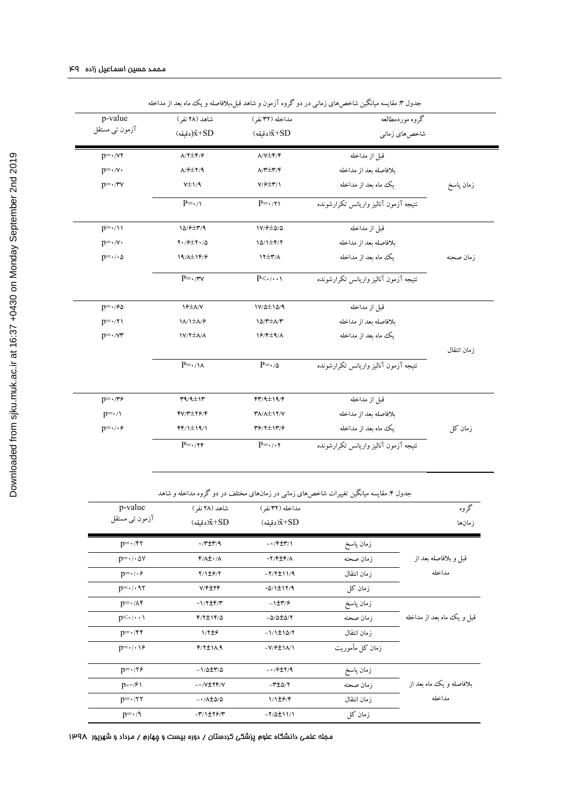| p-value                      | شاهد (۲۸ نفر)                               | مداخله (۳۲ نفر)                              | گروه موردمطالعه                       |              |
|------------------------------|---------------------------------------------|----------------------------------------------|---------------------------------------|--------------|
| آزمون تبي مستقل              | $(\epsilon \tilde{\mathbf{S}} + SD)$ دقبقه) | (دقىقە) $\bar{x}+SD$                         | شاخصهاي زماني                         |              |
| $p = \cdot$ / $\vee \tau$    | $A/Y \pm \mathfrak{F}/\mathfrak{F}$         | $\Lambda/\mathrm{V}\pm\mathrm{F}/\mathrm{F}$ | قىل از مداخله                         |              |
| $p = \cdot / v \cdot$        | $A/F \pm Y/9$                               | $\Lambda/\tau \pm \tau/\tau$                 | بلافاصله بعد از مداخله                |              |
| $p = \cdot/\tau v$           | $V\pm 1/9$                                  | $Y/\sqrt{2} \pm \Upsilon/\Upsilon$           | یک ماه بعد از مداخله                  | زمان پاسخ    |
|                              | $P = \cdot / \sqrt{2}$                      | $P = \cdot / \tau$                           | نتبجه آزمون آنالبز واربانس تكرارشونده |              |
| $p=\cdot/11$                 | $10/9$ $\pm$ $\frac{9}{4}$                  | $1V/F \pm \Delta/\Delta$                     | قبل از مداخله                         |              |
| $p = \cdot / v \cdot$        | $Y \cdot 72 + Y \cdot 70$                   | $10/1 \pm 5/7$                               | ىلافاصله ىعد از مداخله                |              |
| $p=\cdot/\cdot \Delta$       | $19/\lambda \pm 19/9$                       | $17 \pm 7/\Lambda$                           | ىك ماه ىعد از مداخله                  | ز مان صحنه   |
|                              | $P = \cdot/\tau v$                          | $P<\cdot/\cdot\cdot\cdot$                    | نتبجه آزمون آنالبز واربانس تكرارشونده |              |
| $p = \frac{1}{2}$            | $Y^{\pm}A/Y$                                | $1V/\Delta \pm 1\Delta/9$                    | قبل از مداخله                         |              |
| $p = \cdot / \tau$           | $1\lambda/1\pm\lambda/9$                    | $10/T \pm \Lambda/T$                         | ىلافاصله ىعد از مداخله                |              |
| $p = \cdot / \sqrt{r}$       | $1V/Y \pm \Lambda/\Lambda$                  | $19/F±1/\lambda$                             | ىك ماه ىعد از مداخله                  |              |
|                              |                                             |                                              |                                       | ز مان انتقال |
|                              | $P = \cdot/\lambda$                         | $P = \cdot / \Delta$                         | نتيجه آزمون آناليز واريانس تكرارشونده |              |
| $p = \cdot 779$              | $T9/4 \pm 17$                               | $f\uparrow/9 \pm 19/F$                       | قىل از مداخله                         |              |
| $p = \cdot / \sqrt{ }$       | $fV/T \pm f\mathcal{S}/f$                   | $Y/\lambda \pm 1Y/Y$                         | بلافاصله بعد از مداخله                |              |
| $p = \cdot / \cdot \epsilon$ | $FF/1\pm19/1$                               | $49/7 \pm 17/9$                              | یک ماه بعد از مداخله                  | زمان کل      |
|                              | $P = \cdot 75$                              | $P = \cdot / \cdot \cdot$                    | نتيجه آزمون آناليز واريانس تكرارشونده |              |

جدول ۳. مقایسه میانگین شاخصهای زمانی در دو گروه آزمون و شاهد قبل،بلافاصله و یک ماه بعد از مداخله

جدول :4 مقایسه میانگین تغییرات شاخصهاي زمانی در زمانهاي مختلف در دو گروه مداخله و شاهد

| p-value<br>آزمون تبي مستقل                    | شاهد (۲۸ نفر )                          | مداخله (۳۲ نفر )                         |                 | گروه                       |
|-----------------------------------------------|-----------------------------------------|------------------------------------------|-----------------|----------------------------|
|                                               | (دقىقە) $\bar{x}+SD$                    | (دقىقە) $\bar{x}+SD$                     |                 | ز مان ها                   |
| $p = \cdot$ /۴۲                               | $\cdot$ /۳ $\pm$ ۳/۹                    | $-\cdot$ /۴ $\pm$ ۳/۱                    | زمان ياسخ       |                            |
| $p = \cdot / \cdot \Delta V$                  | $f/\lambda \pm \cdot/\lambda$           | $-Y/F \pm F/\Lambda$                     | زمان صحنه       | قبل و بلافاصله بعد از      |
| $p = \cdot / \cdot \epsilon$                  | Y/1E9/Y                                 | $-Y/Y \pm 11/9$                          | ز مان انتقال    | مداخله                     |
| $p = \cdot \mid \cdot \mid \uparrow \uparrow$ | V/F±YF                                  | $-0/1$ ±1۲/۹                             | زمان کل         |                            |
| $p = \cdot / \lambda f$                       | $-1/7$ ±۴/۳                             | $-1\pm\tau/9$                            | زمان ياسخ       |                            |
| $p<\cdot/\cdot\cdot$                          | $f/\tau \pm 1 f/\Delta$                 | $-\Delta/\Delta \pm \Delta/Y$            | زمان صحنه       | قبل و یک ماه بعد از مداخله |
| $p = \cdot$ /۴۴                               | 1/7#9                                   | $-1/1 \pm 10/7$                          | ز مان انتقال    |                            |
| $p = \cdot / \cdot \cdot$                     | $f/t \pm 1$                             | $-V$ / $\div$ $\Lambda$ / $\Lambda$      | زمان کل مأموریت |                            |
| $p = \cdot 75$                                | $-1/\Delta \pm r/\Delta$                | $-1/9$ $\pm$ $\frac{9}{1}$ $\frac{1}{9}$ | زمان پاسخ       |                            |
| $p = \cdot 19$                                | $-1.79$ + $YYY/Y$                       | $-\tau \pm \Delta/\tau$                  | زمان صحنه       | ىلافاصله و يك ماه ىعد از   |
| $p = \cdot 77$                                | $-\cdot/\lambda \pm \Delta/\Delta$      | 1/1±6/F                                  | زمان انتقال     | مداخله                     |
| $p = \cdot$ /9                                | $-\mathbf{r}/1\pm\mathbf{r}/\mathbf{r}$ | $-Y/\Delta \pm 11/1$                     | زمان کا ِ       |                            |

مجله علمی دانشگاه علوم پزشکی کردستان / دوره بیست و چهارم / مرداد و شهریور 1398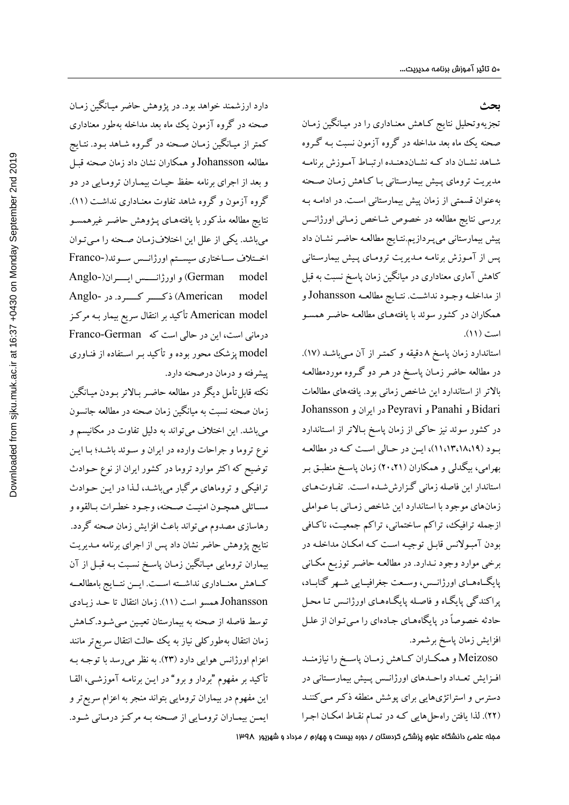#### **بحث**

تجزیهوتحلیل نتایج کـاهش معنـاداري را در میـ انگین زمـان صحنه یک ماه بعد مداخله در گروه آزمون نسبت بـه گـرو ه شـاهد نشــان داد کــه نشــاندهنـده ارتبــاط آمــوزش برنامــه مدیریت تروماي پـیش بیمارسـتانی بـ ا کـاهش زمـان صـحنه بهعنوان قسمتی از زمان پیش بیمارستانی اسـت . در ادامـه بـه بررسی نتایج مطالعه در خصوص شـاخص زمـان ی اورژانـس پیش بیمارستانی میپـرداز یم.نتـا یج مطالعـه حاضـر نشـان داد پس از آمـوزش برنامـه مـديريت ترومـاى پـيش بيمارسـتانى کاهش آماري معناداري در میانگین زمان پاسخ نسبت به قبل از مداخلــه وجــود نداشــت . نتــایج مطالعــه Johansson و همکاران در کشور سوئد با یافتههـا ي مطالعـه حاضـر همسـو است (11).

استاندارد زمان پاسخ 8 دقیقه و کمتـر از آن مـ یباشـد (17). در مطالعه حاضر زمـان پاسـخ در هـر دو گـروه موردمطالعـه بالاتر از استاندارد این شاخص زمانی بود. یافتههاي مطالعات Bidari و Panahi و Peyravi در ایران و Johansson در کشور سوئد نیز حاکی از زمان پاسخ بـالاتر از اسـتاندارد بــود (11،13،18،19)، ایــن در حــالی اســت کــه در مطالعــه بهرامی، بیگدلی و همکاران (20،21) زمان پاسـخ منطبـق بـر استاندار این فاصله زمانی گـزارش شـده اسـت . تفـاوت هـا ي زمانهاي موجود با استاندارد این شاخص زمـانی بـا عـواملی ازجمله ترافیک، تراکم ساختمانی، تراکم جمعیـت، ناکـافی بودن آمبـولانس قابـل توجیـه اسـت کـه امکـان مداخلـ ه در برخی موارد وجود نـدارد . در مطالعـه حاضـر توز یـ ع مکـان ی پایگــاههــاي اورژانــس، وســعت جغرافیــایی شــهر گنابــاد ، پراکندگی پایگـاه و فاصـله پایگـاههـای اورژانـس تـا محـل حادثه خصوصاً در پایگاههـاي جـادهاي را مـيتـوان از علـل افزایش زمان پاسخ برشمرد.

Meizoso و همکــاران کــاهش زمــان پاســخ را نیازمنــد افــزایش تعــداد واحــدهاي اورژانــس پــیش بیمارســتانی در دسترس و استراتژیهایی برای پوشش منطقه ذکـر مـیکننـد (22). لذا یافتن راهحلهایی کـه در تمـام نقـاط امکـان اجـرا

دارد ارزشمند خواهد بود. در پژوهش حاضر میـ انگین زمـان صحنه در گروه آزمون یک ماه بعد مداخله بهطور معناداري کمتر از میـ انگین زمـان صـحنه در گـروه شـاهد بـود . نتـایج مطالعه Johansson و همکاران نشان داد زمان صحنه قبـل و بعد از اجراي برنامه حفظ حیـات بیمـاران ترومـایی در دو گروه آزمون و گروه شاهد تفاوت معنـادار ي نداشـت (11). نتایج مطالعه مذکور با یافتههـای پـژوهش حاضـر غیرهمسـو میباشد. یکی از علل این اختلافزمـان صـحنه را مـیتـوان اخــتلاف ســاختاري سیســتم اورژانــس ســوئد(-Franco model German (و اورژانــــس ایــــران(-Anglo model American (ذکـــــر کـــــرد . در -Anglo model American تأکید بر انتقال سریع بیمار بـه مرکـز درمانی است، این در حالی است که German-Franco model پزشک محور بوده و تأکید بـر اسـتفاده از فنـاوري پیشرفته و درمان درصحنه دارد.

نکته قابلتأمل دیگر در مطالعه حاضـر بـالاتر بـودن میـانگین زمان صحنه نسبت به میانگین زمان صحنه در مطالعه جانسون میباشد. این اختلاف میتواند به دلیل تفاوت در مکانیسم و نوع تروما و جراحات وارده در ایران و سـوئد باشـد ؛ بـا ایـن توضیح که اکثر موارد تروما در کشور ایران از نوع حـوادث ترافیکی و تروماهای مرگبار میباشـد، لـذا در ایـن حـوادث مسـائلی همچـون امنیـت صـحنه، وجـود خطـرات بـالقوه و رهاسازي مصدوم میتواند باعث افزایش زمان صحنه گردد. نتایج پژوهش حاضر نشان داد پس از اجراي برنامه مـد یریت بیماران ترومایی میـ انگین زمـان پاسـخ نسـبت بـه قبـل از آن کــاهش معنــاداري نداشــته اســت. ایــن نتــایج بامطالعــه Johansson همسو است (11). زمان انتقال تا حـد زیـادي توسط فاصله از صحنه به بیمارستان تعیـی ن مـ یشـود .کـاهش زمان انتقال بهطورکلی نیاز به یک حالت انتقال سریعتر مانند اعزام اورژانس هوایی دارد (23). به نظر میرسد با توجـه بـه تأکید بر مفهوم "بردار و برو" در ایـن برنامـه آموزشـی ، القـا این مفهوم در بیماران ترومایی بتواند منجر به اعزام سریعترو ایمـن بیمـاران ترومـایی از صـحنه بـه مرکـز درمـانی شـود.

مجله علمی دانشگاه علوم پزشکی کردستان / دوره بیست و چهارم / مرداد و شهریور 1398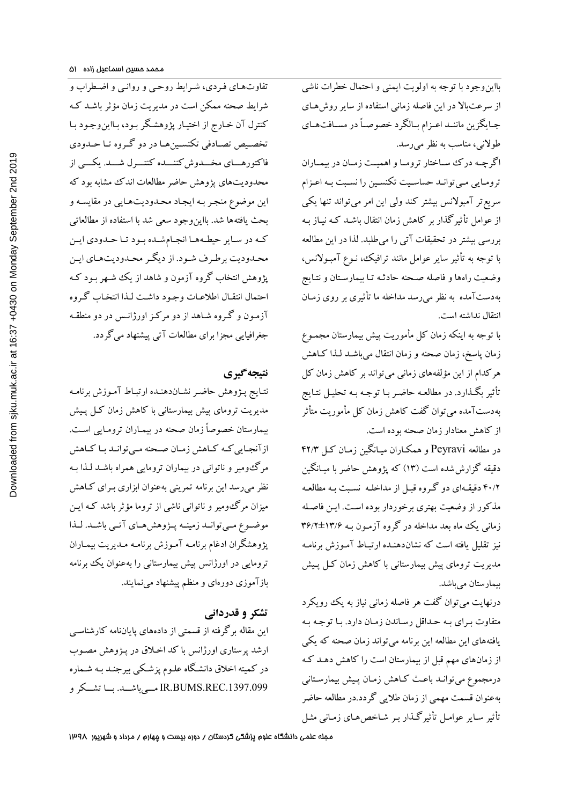بااینوجود با توجه به اولویت ایمنی و احتمال خطرات ناشی از سرعتبالا در این فاصله زمانی استفاده از سایر روشهـا ي جــایگزین ماننــد اعــزام بــالگرد خصوصــاً در مســافتهــاي طولانی، مناسب به نظر میرسد. اگرچــه درك ســاختار ترومــا و اهم یــت زمــان در بیمــاران

ترومـایی مـیتوانـد حساسـیت تکنسـین را نسـبت بـه اعـزام سریعتر آمبولانس بیشتر کند ولی این امر میتواند تنها یکی از عوامل تأثیرگذار بر کاهش زمان انتقال باشـد کـه نیــاز بـه بررسی بیشتر در تحقیقات آتی را میطلبد. لذا در این مطالعه با توجه به تأثیر سایر عوامل مانند ترافیک، نـوع آمبـولانس ، وضعیت راهها و فاصله صـحنه حادثـه تـا ب یمارسـتان و نتـا یج بهدستآمده به نظر میرسد مداخله ما تأثیري بر روي زمـان انتقال نداشته است.

با توجه به اینکه زمان کل مأموریت پیش بیمارستان مجمـوع زمان پاسخ، زمان صحنه و زمان انتقال میباشـد لـذا کـاهش هرکدام از این مؤلفههاي زمانی میتواند بر کاهش زمان کل تأثیر بگـذارد. در مطالعـه حاضـر بـا توجـه بـه تحليـل نتـايج بهدستآمده میتوان گفت کاهش زمان کل مأموریت متأثر از کاهش معنادار زمان صحنه بوده است.

در مطالعه Peyravi و همکـاران میـانگین زمـان کـل 42/3 دقیقه گزارششده است (13) که پژوهش حاضر با میـانگین 40/2 دقیقـه اي دو گـروه قبـل از مداخلـه نسـبت بـه مطالعـه مذکور از وضعیت بهتري برخوردار بوده اسـت . ایـن فاصـله زمانی یک ماه بعد مداخله در گروه آزمـون بـه ۱۳/۶±۱۳/۶ نیز تقلیل یافته است که نشاندهنـده ارتبـاط آمـوزش برنامـه مدیریت تروماي پیش بیمارستانی با کاهش زمان کـل پـ یش بیمارستان می باشد.

درنهایت می توان گفت هر فاصله زمانی نیاز به یک رویکرد متفاوت بـراي بـه حـداقل رسـاندن زمـان دارد. بـا توجـه بـه یافتههاي این مطالعه این برنامه میتواند زمان صحنه که یکی از زمانهاي مهم قبل از بیمارستان است را کاهش دهـد کـه درمجموع میتوانـد باعـث کـاهش زمـان پـ یش بیمارسـتان ی بهعنوان قسمت مهمی از زمان طلایی گردد.در مطالعه حاضر تأثیر سـایر عوامـل تأثیرگـذار بـر شـاخص هـا ي زمـانی مثـل

تفاوتهـاي فـردي، شـرايط روحـي و روانـي و اضـطراب و شرایط صحنه ممکن است در مدیریت زمان مؤثر باشـد کـه کنترل آن خـارج از اختيـار پژوهشـگر بـود، بـااين<code>وجـود بـا</code> تخصــیص تصــادفی تکنســینهــا در دو گــروه تــا حــدودي فاکتورهـــاي مخـــدوش کننـــده کنتـــرل شـــد. یکـــی از محدودیتهاي پژوهش حاضرمطالعات اندك مشابه بود که این موضوع منجـر بـه ایجـاد محـدود یتهـا یی در مقایسـه و بحث یافتهها شد. بااینوجود سعی شد با استفاده از مطالعاتی کــه در ســایر حیطــههــا انجــامشــده بــود تــا حــدودي ایــن محـدودیت برطـرف شـود. از دیگـر محـدودیتهـاي ایـن پژوهش انتخاب گروه آزمون و شاهد از یک شـهر بـود کـه احتمال انتقـال اطلاعـات وجـود داشـت لـذا انتخـاب گـروه آزمـون و گـروه شـاهد از دو مرکـز اورژانـس در دو منطقـه جغرافیایی مجزا براي مطالعات آتی پیشنهاد میگردد.

### **نتیجهگیري**

نتـایج پـژوهش حاضـر نشـان دهنـده ارتبـاط آمـوزش برنامـه مدیریت تروماي پیش بیمارستانی با کاهش زمان کـل پـیش بیمارستان خصوصاً زمان صحنه در بیمـاران ترومـایی اسـت . ازآنجـاییکــه کــاهش زمــان صــحنه مــیتوانــد بــا کــاهش مرگومیر و ناتوانی در بیماران ترومایی همراه باشـد لـذا بـه نظر میرسد این برنامه تمرینی بهعنوان ابزاري بـراي کـاهش میزان مرگومیر و ناتوانی ناشی از تروما مؤثر باشد کـه ایـن موضــوع مــیتوانــد زمینــه پــژوهشهــاي آتــی باشــد. لــذا پژوهشگران ادغام برنامـه آمـوزش برنامـه مـ دیریت بیمـاران ترومایی در اورژانس پیش بیمارستانی را بهعنوان یک برنامه بازآموزي دورهاي و منظم پیشنهاد مینمایند.

# **تشکر و قدردانی**

این مقاله برگرفته از قسمتی از دادههاي پایاننامه کارشناسـ ی ارشد پرستاري اورژانس با کد اخـلاق در پـژوهش مصـوب در کمیته اخلاق دانشـگاه علـوم پزشـکی بیرجنـد بـه شـماره .1397.099REC.BUMS.IR مـــیباشـــد. بـــا تشـــکر و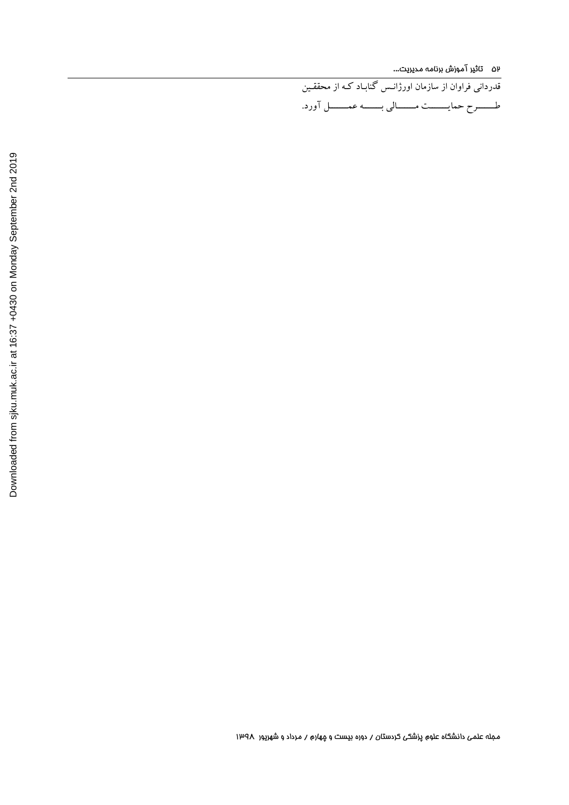52 تاثیر آموزش برنامه مدیریت...

قدردانی فراوان از سازمان اورژانـس گنابـاد کـه از محققـ ین طـــــــرح حمایـــــــت مـــــــالی بـــــــه عمـــــــل آورد .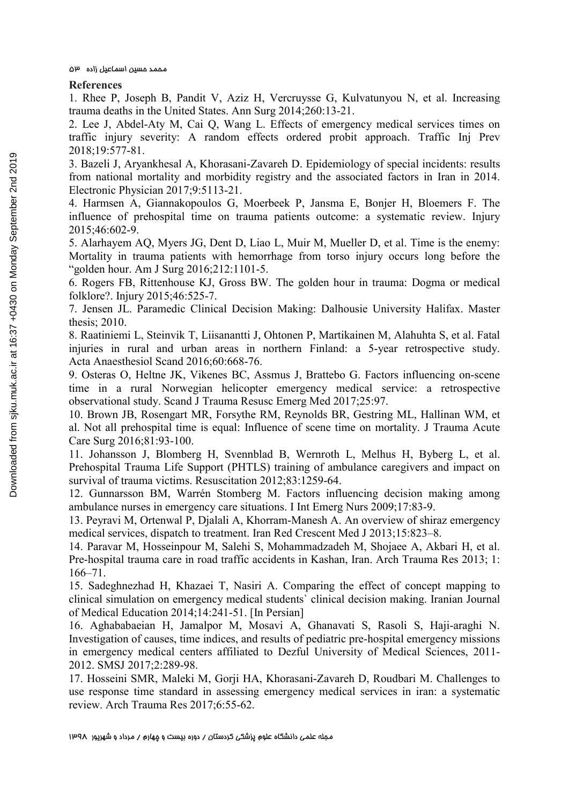#### **References**

1. Rhee P, Joseph B, Pandit V, Aziz H, Vercruysse G, Kulvatunyou N, et al. Increasing trauma deaths in the United States. Ann Surg 2014;260:13-21.

2. Lee J, Abdel-Aty M, Cai Q, Wang L. Effects of emergency medical services times on traffic injury severity: A random effects ordered probit approach. Traffic Inj Prev 2018;19:577-81.

3. Bazeli J, Aryankhesal A, Khorasani-Zavareh D. Epidemiology of special incidents: results from national mortality and morbidity registry and the associated factors in Iran in 2014. Electronic Physician 2017;9:5113-21.

4. Harmsen A, Giannakopoulos G, Moerbeek P, Jansma E, Bonjer H, Bloemers F. The influence of prehospital time on trauma patients outcome: a systematic review. Injury 2015;46:602-9.

5. Alarhayem AQ, Myers JG, Dent D, Liao L, Muir M, Mueller D, et al. Time is the enemy: Mortality in trauma patients with hemorrhage from torso injury occurs long before the "golden hour. Am J Surg 2016;212:1101-5.

6. Rogers FB, Rittenhouse KJ, Gross BW. The golden hour in trauma: Dogma or medical folklore?. Injury 2015;46:525-7.

7. Jensen JL. Paramedic Clinical Decision Making: Dalhousie University Halifax. Master thesis; 2010.

8. Raatiniemi L, Steinvik T, Liisanantti J, Ohtonen P, Martikainen M, Alahuhta S, et al. Fatal injuries in rural and urban areas in northern Finland: a 5-year retrospective study. Acta Anaesthesiol Scand 2016;60:668-76.

9. Osteras O, Heltne JK, Vikenes BC, Assmus J, Brattebo G. Factors influencing on-scene time in a rural Norwegian helicopter emergency medical service: a retrospective observational study. Scand J Trauma Resusc Emerg Med 2017;25:97.

10. Brown JB, Rosengart MR, Forsythe RM, Reynolds BR, Gestring ML, Hallinan WM, et al. Not all prehospital time is equal: Influence of scene time on mortality. J Trauma Acute Care Surg 2016;81:93-100.

11. Johansson J, Blomberg H, Svennblad B, Wernroth L, Melhus H, Byberg L, et al. Prehospital Trauma Life Support (PHTLS) training of ambulance caregivers and impact on survival of trauma victims. Resuscitation 2012;83:1259-64.

12. Gunnarsson BM, Warrén Stomberg M. Factors influencing decision making among ambulance nurses in emergency care situations. I Int Emerg Nurs 2009;17:83-9.

13. Peyravi M, Ortenwal P, Djalali A, Khorram-Manesh A. An overview of shiraz emergency medical services, dispatch to treatment. Iran Red Crescent Med J 2013;15:823–8.

14. Paravar M, Hosseinpour M, Salehi S, Mohammadzadeh M, Shojaee A, Akbari H, et al. Pre-hospital trauma care in road traffic accidents in Kashan, Iran. Arch Trauma Res 2013; 1: 166–71.

15. Sadeghnezhad H, Khazaei T, Nasiri A. Comparing the effect of concept mapping to clinical simulation on emergency medical students` clinical decision making. Iranian Journal of Medical Education 2014;14:241-51. [In Persian]

16. Aghababaeian H, Jamalpor M, Mosavi A, Ghanavati S, Rasoli S, Haji-araghi N. Investigation of causes, time indices, and results of pediatric pre-hospital emergency missions in emergency medical centers affiliated to Dezful University of Medical Sciences, 2011- 2012. SMSJ 2017;2:289-98.

17. Hosseini SMR, Maleki M, Gorji HA, Khorasani-Zavareh D, Roudbari M. Challenges to use response time standard in assessing emergency medical services in iran: a systematic review. Arch Trauma Res 2017;6:55-62.